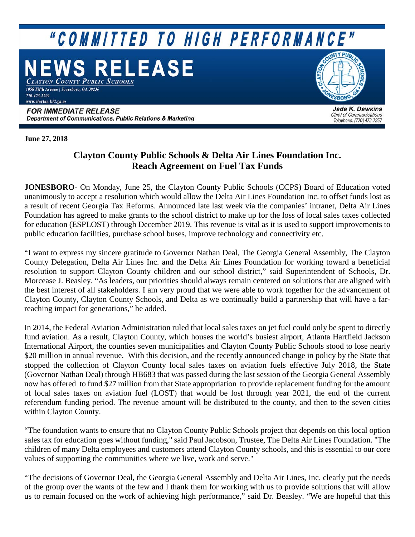# "COMMITTED TO HIGH PERFORMANCE"

## **WS RELEASE** CLAYTON COUNTY PUBLIC SCHOOLS

1058 Fifth Avenue | Jonesboro, GA 30236 770-473-2700 www.clayton.k12.ga.us

SBORO

#### **FOR IMMEDIATE RELEASE** Department of Communications, Public Relations & Marketing

Jada K. Dawkins **Chief of Communications** Telephone: (770) 472-7257

**June 27, 2018**

### **Clayton County Public Schools & Delta Air Lines Foundation Inc. Reach Agreement on Fuel Tax Funds**

**JONESBORO**- On Monday, June 25, the Clayton County Public Schools (CCPS) Board of Education voted unanimously to accept a resolution which would allow the Delta Air Lines Foundation Inc. to offset funds lost as a result of recent Georgia Tax Reforms. Announced late last week via the companies' intranet, Delta Air Lines Foundation has agreed to make grants to the school district to make up for the loss of local sales taxes collected for education (ESPLOST) through December 2019. This revenue is vital as it is used to support improvements to public education facilities, purchase school buses, improve technology and connectivity etc.

"I want to express my sincere gratitude to Governor Nathan Deal, The Georgia General Assembly, The Clayton County Delegation, Delta Air Lines Inc. and the Delta Air Lines Foundation for working toward a beneficial resolution to support Clayton County children and our school district," said Superintendent of Schools, Dr. Morcease J. Beasley. "As leaders, our priorities should always remain centered on solutions that are aligned with the best interest of all stakeholders. I am very proud that we were able to work together for the advancement of Clayton County, Clayton County Schools, and Delta as we continually build a partnership that will have a farreaching impact for generations," he added.

In 2014, the Federal Aviation Administration ruled that local sales taxes on jet fuel could only be spent to directly fund aviation. As a result, Clayton County, which houses the world's busiest airport, Atlanta Hartfield Jackson International Airport, the counties seven municipalities and Clayton County Public Schools stood to lose nearly \$20 million in annual revenue. With this decision, and the recently announced change in policy by the State that stopped the collection of Clayton County local sales taxes on aviation fuels effective July 2018, the State (Governor Nathan Deal) through HB683 that was passed during the last session of the Georgia General Assembly now has offered to fund \$27 million from that State appropriation to provide replacement funding for the amount of local sales taxes on aviation fuel (LOST) that would be lost through year 2021, the end of the current referendum funding period. The revenue amount will be distributed to the county, and then to the seven cities within Clayton County.

"The foundation wants to ensure that no Clayton County Public Schools project that depends on this local option sales tax for education goes without funding," said Paul Jacobson, Trustee, The Delta Air Lines Foundation. "The children of many Delta employees and customers attend Clayton County schools, and this is essential to our core values of supporting the communities where we live, work and serve."

"The decisions of Governor Deal, the Georgia General Assembly and Delta Air Lines, Inc. clearly put the needs of the group over the wants of the few and I thank them for working with us to provide solutions that will allow us to remain focused on the work of achieving high performance," said Dr. Beasley. "We are hopeful that this